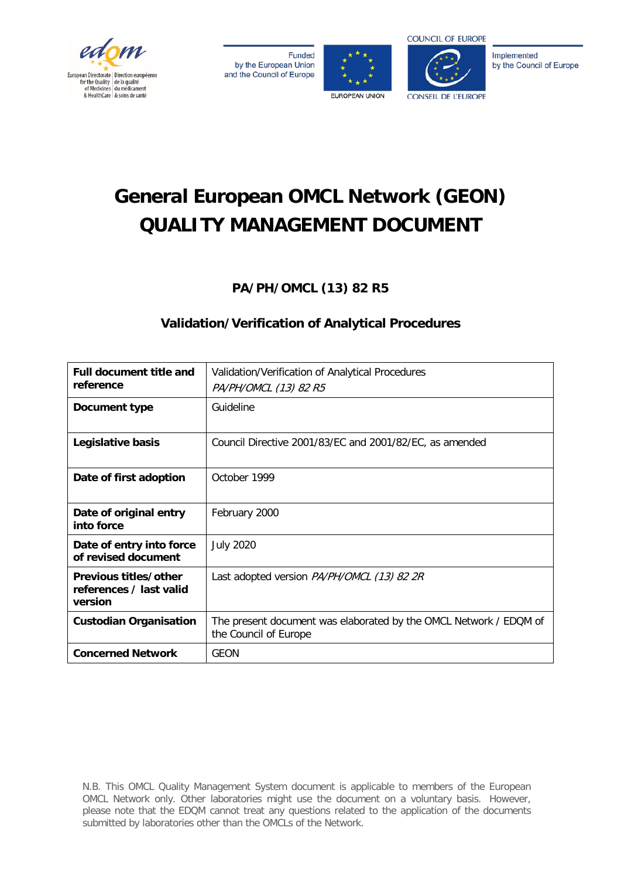

Funded by the European Union and the Council of Europe





Implemented by the Council of Europe

# **General European OMCL Network (GEON) QUALITY MANAGEMENT DOCUMENT**

**PA/PH/OMCL (13) 82 R5**

# **Validation/Verification of Analytical Procedures**

| <b>Full document title and</b><br>reference                 | Validation/Verification of Analytical Procedures<br>PA/PH/OMCL (13) 82 R5                  |  |
|-------------------------------------------------------------|--------------------------------------------------------------------------------------------|--|
| Document type                                               | Guideline                                                                                  |  |
| Legislative basis                                           | Council Directive 2001/83/EC and 2001/82/EC, as amended                                    |  |
| Date of first adoption                                      | October 1999                                                                               |  |
| Date of original entry<br>into force                        | February 2000                                                                              |  |
| Date of entry into force<br>of revised document             | <b>July 2020</b>                                                                           |  |
| Previous titles/other<br>references / last valid<br>version | Last adopted version PA/PH/OMCL (13) 82 2R                                                 |  |
| <b>Custodian Organisation</b>                               | The present document was elaborated by the OMCL Network / EDQM of<br>the Council of Europe |  |
| <b>Concerned Network</b>                                    | GEON                                                                                       |  |

N.B. This OMCL Quality Management System document is applicable to members of the European OMCL Network only. Other laboratories might use the document on a voluntary basis. However, please note that the EDQM cannot treat any questions related to the application of the documents submitted by laboratories other than the OMCLs of the Network.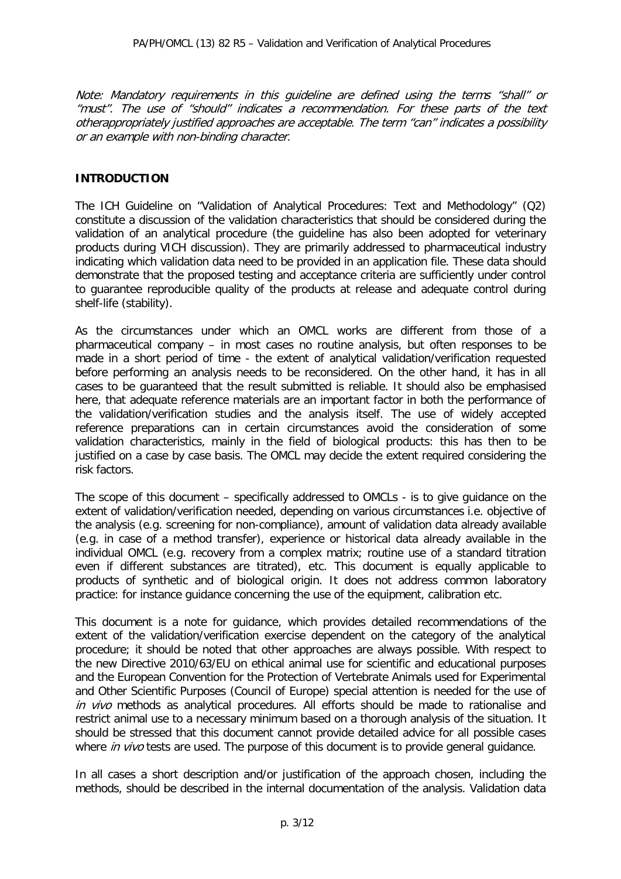Note: Mandatory requirements in this guideline are defined using the terms "shall" or "must". The use of "should" indicates a recommendation. For these parts of the text otherappropriately justified approaches are acceptable. The term "can" indicates a possibility or an example with non-binding character.

#### **INTRODUCTION**

The ICH Guideline on "Validation of Analytical Procedures: Text and Methodology" (Q2) constitute a discussion of the validation characteristics that should be considered during the validation of an analytical procedure (the guideline has also been adopted for veterinary products during VICH discussion). They are primarily addressed to pharmaceutical industry indicating which validation data need to be provided in an application file. These data should demonstrate that the proposed testing and acceptance criteria are sufficiently under control to guarantee reproducible quality of the products at release and adequate control during shelf-life (stability).

As the circumstances under which an OMCL works are different from those of a pharmaceutical company – in most cases no routine analysis, but often responses to be made in a short period of time - the extent of analytical validation/verification requested before performing an analysis needs to be reconsidered. On the other hand, it has in all cases to be guaranteed that the result submitted is reliable. It should also be emphasised here, that adequate reference materials are an important factor in both the performance of the validation/verification studies and the analysis itself. The use of widely accepted reference preparations can in certain circumstances avoid the consideration of some validation characteristics, mainly in the field of biological products: this has then to be justified on a case by case basis. The OMCL may decide the extent required considering the risk factors.

The scope of this document – specifically addressed to OMCLs - is to give guidance on the extent of validation/verification needed, depending on various circumstances i.e. objective of the analysis (e.g. screening for non-compliance), amount of validation data already available (e.g. in case of a method transfer), experience or historical data already available in the individual OMCL (e.g. recovery from a complex matrix; routine use of a standard titration even if different substances are titrated), etc. This document is equally applicable to products of synthetic and of biological origin. It does not address common laboratory practice: for instance guidance concerning the use of the equipment, calibration etc.

This document is a note for guidance, which provides detailed recommendations of the extent of the validation/verification exercise dependent on the category of the analytical procedure; it should be noted that other approaches are always possible. With respect to the new Directive 2010/63/EU on ethical animal use for scientific and educational purposes and the European Convention for the Protection of Vertebrate Animals used for Experimental and Other Scientific Purposes (Council of Europe) special attention is needed for the use of in vivo methods as analytical procedures. All efforts should be made to rationalise and restrict animal use to a necessary minimum based on a thorough analysis of the situation. It should be stressed that this document cannot provide detailed advice for all possible cases where in vivo tests are used. The purpose of this document is to provide general guidance.

In all cases a short description and/or justification of the approach chosen, including the methods, should be described in the internal documentation of the analysis. Validation data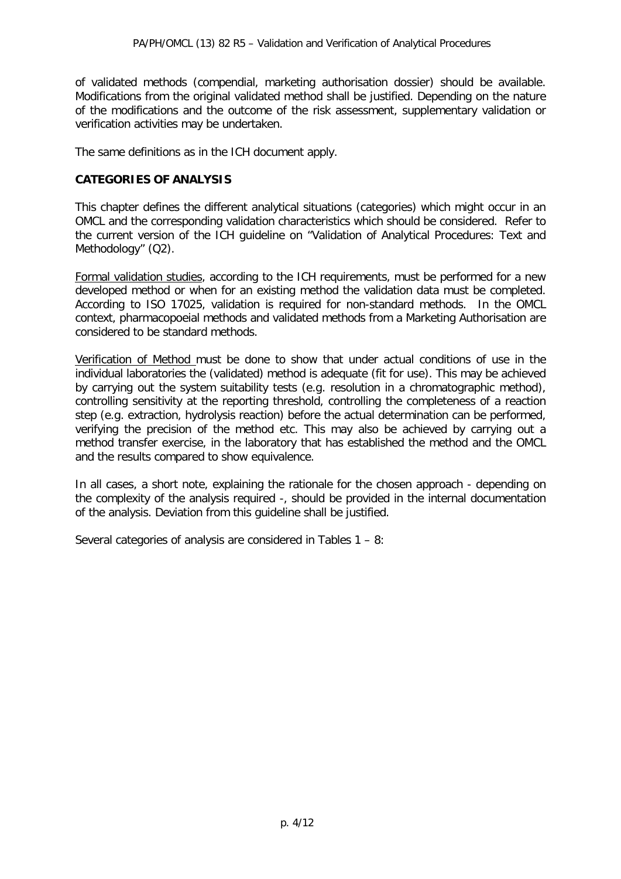of validated methods (compendial, marketing authorisation dossier) should be available. Modifications from the original validated method shall be justified. Depending on the nature of the modifications and the outcome of the risk assessment, supplementary validation or verification activities may be undertaken.

The same definitions as in the ICH document apply.

## **CATEGORIES OF ANALYSIS**

This chapter defines the different analytical situations (categories) which might occur in an OMCL and the corresponding validation characteristics which should be considered. Refer to the current version of the ICH guideline on "Validation of Analytical Procedures: Text and Methodology" (Q2).

Formal validation studies, according to the ICH requirements, must be performed for a new developed method or when for an existing method the validation data must be completed. According to ISO 17025, validation is required for non-standard methods. In the OMCL context, pharmacopoeial methods and validated methods from a Marketing Authorisation are considered to be standard methods.

Verification of Method must be done to show that under actual conditions of use in the individual laboratories the (validated) method is adequate (fit for use). This may be achieved by carrying out the system suitability tests (e.g. resolution in a chromatographic method), controlling sensitivity at the reporting threshold, controlling the completeness of a reaction step (e.g. extraction, hydrolysis reaction) before the actual determination can be performed, verifying the precision of the method etc. This may also be achieved by carrying out a method transfer exercise, in the laboratory that has established the method and the OMCL and the results compared to show equivalence.

In all cases, a short note, explaining the rationale for the chosen approach - depending on the complexity of the analysis required -, should be provided in the internal documentation of the analysis. Deviation from this guideline shall be justified.

Several categories of analysis are considered in Tables 1 – 8: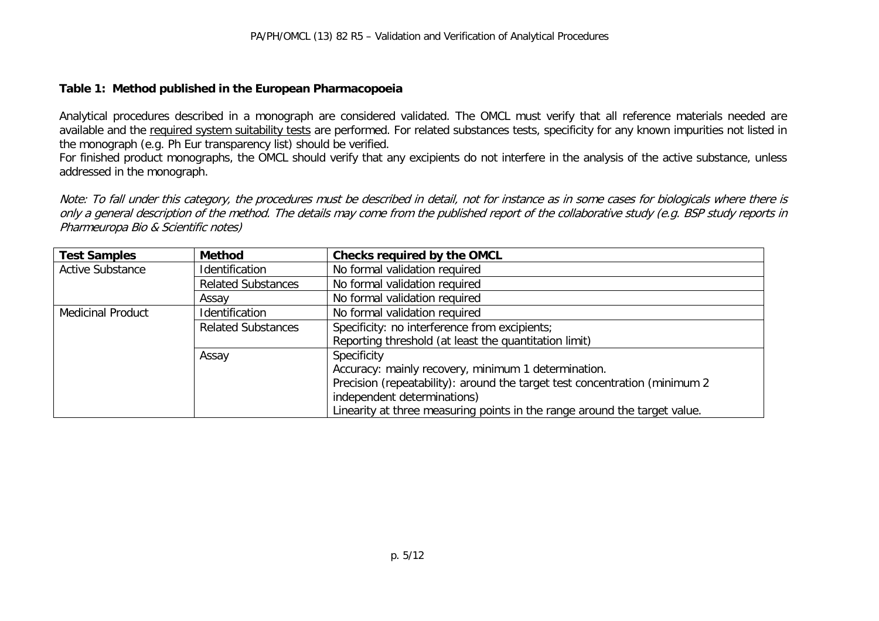#### **Table 1: Method published in the European Pharmacopoeia**

Analytical procedures described in a monograph are considered validated. The OMCL must verify that all reference materials needed are available and the required system suitability tests are performed. For related substances tests, specificity for any known impurities not listed in the monograph (e.g. Ph Eur transparency list) should be verified.

For finished product monographs, the OMCL should verify that any excipients do not interfere in the analysis of the active substance, unless addressed in the monograph.

Note: To fall under this category, the procedures must be described in detail, not for instance as in some cases for biologicals where there is only a general description of the method. The details may come from the published report of the collaborative study (e.g. BSP study reports in Pharmeuropa Bio & Scientific notes)

| <b>Test Samples</b>      | <b>Method</b>             | Checks required by the OMCL                                                |
|--------------------------|---------------------------|----------------------------------------------------------------------------|
| <b>Active Substance</b>  | Identification            | No formal validation required                                              |
|                          | <b>Related Substances</b> | No formal validation required                                              |
|                          | Assav                     | No formal validation required                                              |
| <b>Medicinal Product</b> | Identification            | No formal validation required                                              |
|                          | <b>Related Substances</b> | Specificity: no interference from excipients;                              |
|                          |                           | Reporting threshold (at least the quantitation limit)                      |
|                          | Assay                     | Specificity                                                                |
|                          |                           | Accuracy: mainly recovery, minimum 1 determination.                        |
|                          |                           | Precision (repeatability): around the target test concentration (minimum 2 |
|                          |                           | independent determinations)                                                |
|                          |                           | Linearity at three measuring points in the range around the target value.  |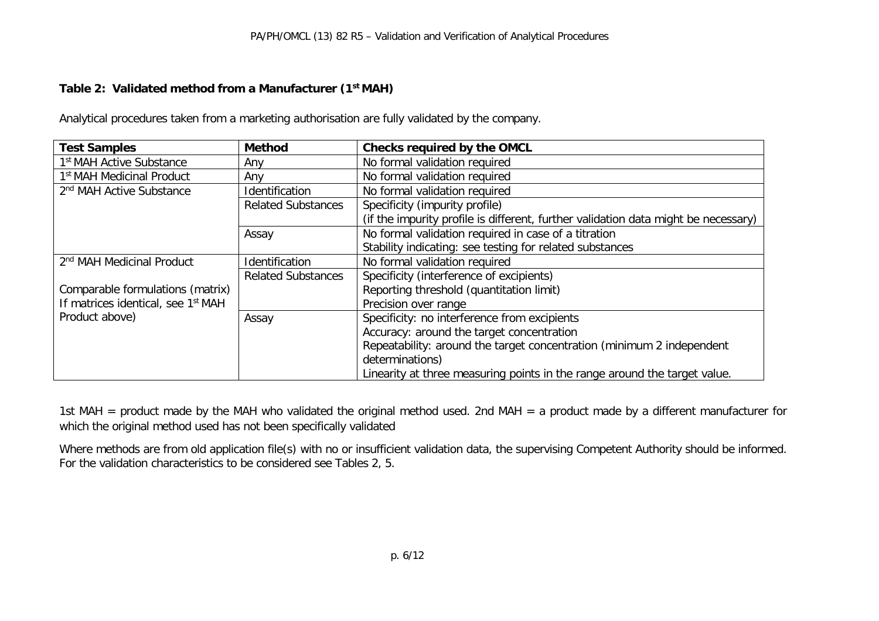## **Table 2: Validated method from a Manufacturer (1st MAH)**

Analytical procedures taken from a marketing authorisation are fully validated by the company.

| <b>Test Samples</b>                            | <b>Method</b>             | <b>Checks required by the OMCL</b>                                                 |
|------------------------------------------------|---------------------------|------------------------------------------------------------------------------------|
| 1 <sup>st</sup> MAH Active Substance           | Any                       | No formal validation required                                                      |
| 1 <sup>st</sup> MAH Medicinal Product          | Anv                       | No formal validation required                                                      |
| 2 <sup>nd</sup> MAH Active Substance           | <b>Identification</b>     | No formal validation required                                                      |
|                                                | <b>Related Substances</b> | Specificity (impurity profile)                                                     |
|                                                |                           | (if the impurity profile is different, further validation data might be necessary) |
|                                                | Assay                     | No formal validation required in case of a titration                               |
|                                                |                           | Stability indicating: see testing for related substances                           |
| 2 <sup>nd</sup> MAH Medicinal Product          | <b>Identification</b>     | No formal validation required                                                      |
|                                                | <b>Related Substances</b> | Specificity (interference of excipients)                                           |
| Comparable formulations (matrix)               |                           | Reporting threshold (quantitation limit)                                           |
| If matrices identical, see 1 <sup>st</sup> MAH |                           | Precision over range                                                               |
| Product above)                                 | Assay                     | Specificity: no interference from excipients                                       |
|                                                |                           | Accuracy: around the target concentration                                          |
|                                                |                           | Repeatability: around the target concentration (minimum 2 independent              |
|                                                |                           | determinations)                                                                    |
|                                                |                           | Linearity at three measuring points in the range around the target value.          |

1st MAH = product made by the MAH who validated the original method used. 2nd MAH = a product made by a different manufacturer for which the original method used has not been specifically validated

Where methods are from old application file(s) with no or insufficient validation data, the supervising Competent Authority should be informed. For the validation characteristics to be considered see Tables 2, 5.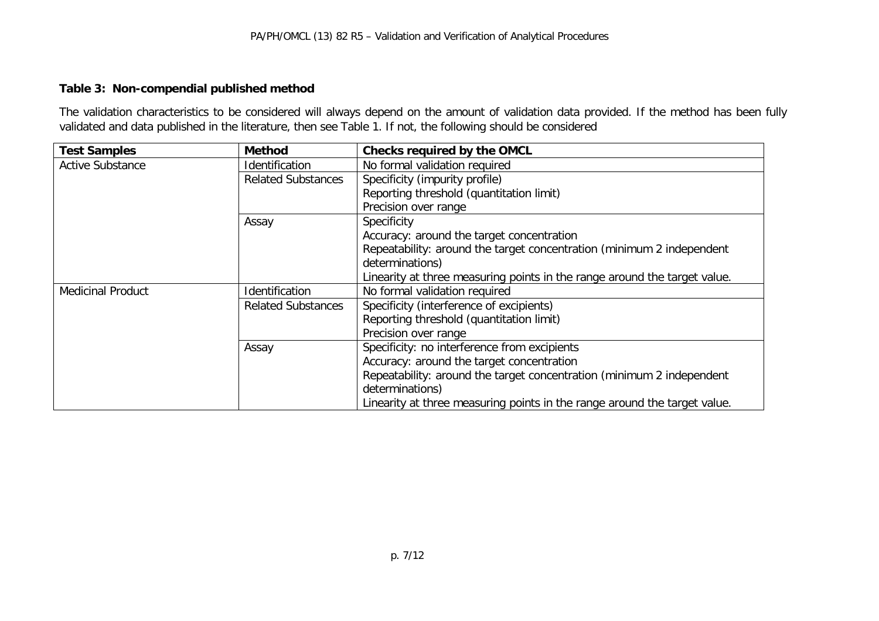## **Table 3: Non-compendial published method**

The validation characteristics to be considered will always depend on the amount of validation data provided. If the method has been fully validated and data published in the literature, then see Table 1. If not, the following should be considered

| <b>Test Samples</b>      | <b>Method</b>             | <b>Checks required by the OMCL</b>                                        |
|--------------------------|---------------------------|---------------------------------------------------------------------------|
| <b>Active Substance</b>  | Identification            | No formal validation required                                             |
|                          | <b>Related Substances</b> | Specificity (impurity profile)                                            |
|                          |                           | Reporting threshold (quantitation limit)                                  |
|                          |                           | Precision over range                                                      |
|                          | Assay                     | Specificity                                                               |
|                          |                           | Accuracy: around the target concentration                                 |
|                          |                           | Repeatability: around the target concentration (minimum 2 independent     |
|                          |                           | determinations)                                                           |
|                          |                           | Linearity at three measuring points in the range around the target value. |
| <b>Medicinal Product</b> | Identification            | No formal validation required                                             |
|                          | <b>Related Substances</b> | Specificity (interference of excipients)                                  |
|                          |                           | Reporting threshold (quantitation limit)                                  |
|                          |                           | Precision over range                                                      |
|                          | Assay                     | Specificity: no interference from excipients                              |
|                          |                           | Accuracy: around the target concentration                                 |
|                          |                           | Repeatability: around the target concentration (minimum 2 independent     |
|                          |                           | determinations)                                                           |
|                          |                           | Linearity at three measuring points in the range around the target value. |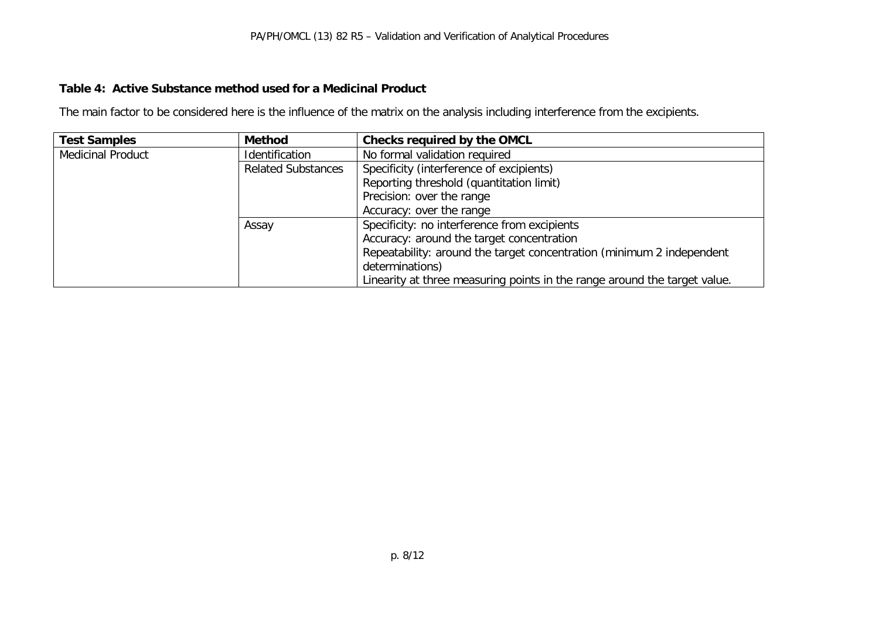### **Table 4: Active Substance method used for a Medicinal Product**

The main factor to be considered here is the influence of the matrix on the analysis including interference from the excipients.

| <b>Test Samples</b>      | <b>Method</b>             | Checks required by the OMCL                                               |
|--------------------------|---------------------------|---------------------------------------------------------------------------|
| <b>Medicinal Product</b> | Identification            | No formal validation required                                             |
|                          | <b>Related Substances</b> | Specificity (interference of excipients)                                  |
|                          |                           | Reporting threshold (quantitation limit)                                  |
|                          |                           | Precision: over the range                                                 |
|                          |                           | Accuracy: over the range                                                  |
|                          | Assay                     | Specificity: no interference from excipients                              |
|                          |                           | Accuracy: around the target concentration                                 |
|                          |                           | Repeatability: around the target concentration (minimum 2 independent     |
|                          |                           | determinations)                                                           |
|                          |                           | Linearity at three measuring points in the range around the target value. |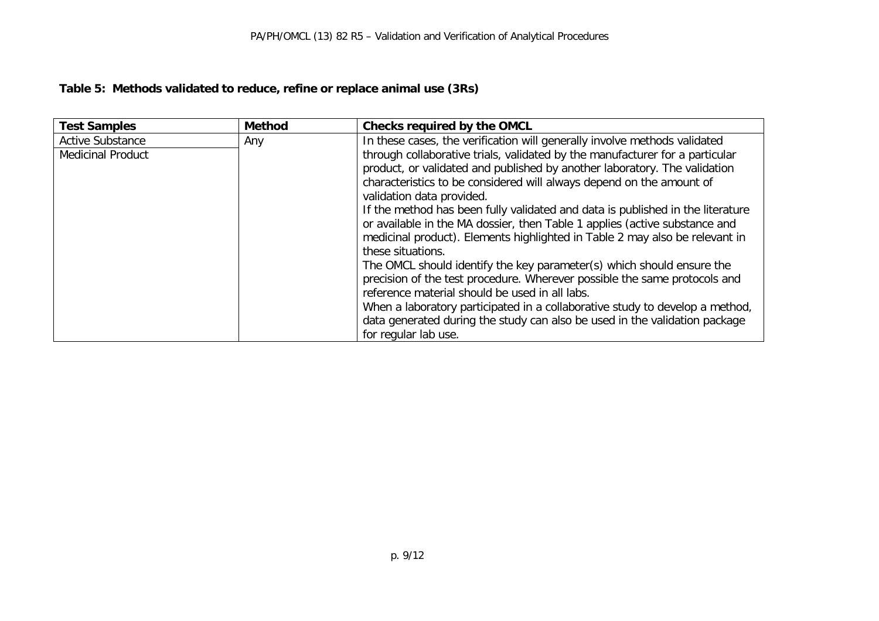## **Table 5: Methods validated to reduce, refine or replace animal use (3Rs)**

| <b>Test Samples</b>      | <b>Method</b> | <b>Checks required by the OMCL</b>                                                                                                                                                                                                                                                                                                                                                                                                                                                                                                                                                                                                                                                                                                                                                                                                                                                                       |
|--------------------------|---------------|----------------------------------------------------------------------------------------------------------------------------------------------------------------------------------------------------------------------------------------------------------------------------------------------------------------------------------------------------------------------------------------------------------------------------------------------------------------------------------------------------------------------------------------------------------------------------------------------------------------------------------------------------------------------------------------------------------------------------------------------------------------------------------------------------------------------------------------------------------------------------------------------------------|
| <b>Active Substance</b>  | Any           | In these cases, the verification will generally involve methods validated                                                                                                                                                                                                                                                                                                                                                                                                                                                                                                                                                                                                                                                                                                                                                                                                                                |
| <b>Medicinal Product</b> |               | through collaborative trials, validated by the manufacturer for a particular<br>product, or validated and published by another laboratory. The validation<br>characteristics to be considered will always depend on the amount of<br>validation data provided.<br>If the method has been fully validated and data is published in the literature<br>or available in the MA dossier, then Table 1 applies (active substance and<br>medicinal product). Elements highlighted in Table 2 may also be relevant in<br>these situations.<br>The OMCL should identify the key parameter(s) which should ensure the<br>precision of the test procedure. Wherever possible the same protocols and<br>reference material should be used in all labs.<br>When a laboratory participated in a collaborative study to develop a method,<br>data generated during the study can also be used in the validation package |
|                          |               | for regular lab use.                                                                                                                                                                                                                                                                                                                                                                                                                                                                                                                                                                                                                                                                                                                                                                                                                                                                                     |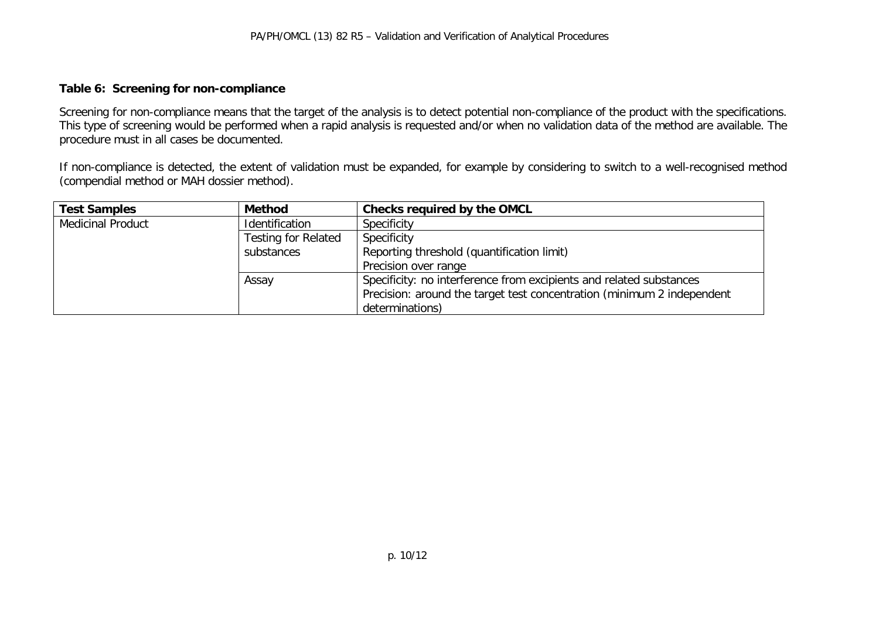#### **Table 6: Screening for non-compliance**

Screening for non-compliance means that the target of the analysis is to detect potential non-compliance of the product with the specifications. This type of screening would be performed when a rapid analysis is requested and/or when no validation data of the method are available. The procedure must in all cases be documented.

If non-compliance is detected, the extent of validation must be expanded, for example by considering to switch to a well-recognised method (compendial method or MAH dossier method).

| <b>Test Samples</b>      | <b>Method</b>              | Checks required by the OMCL                                            |
|--------------------------|----------------------------|------------------------------------------------------------------------|
| <b>Medicinal Product</b> | Identification             | Specificity                                                            |
|                          | <b>Testing for Related</b> | Specificity                                                            |
|                          | substances                 | Reporting threshold (quantification limit)                             |
|                          |                            | Precision over range                                                   |
|                          | Assay                      | Specificity: no interference from excipients and related substances    |
|                          |                            | Precision: around the target test concentration (minimum 2 independent |
|                          |                            | determinations)                                                        |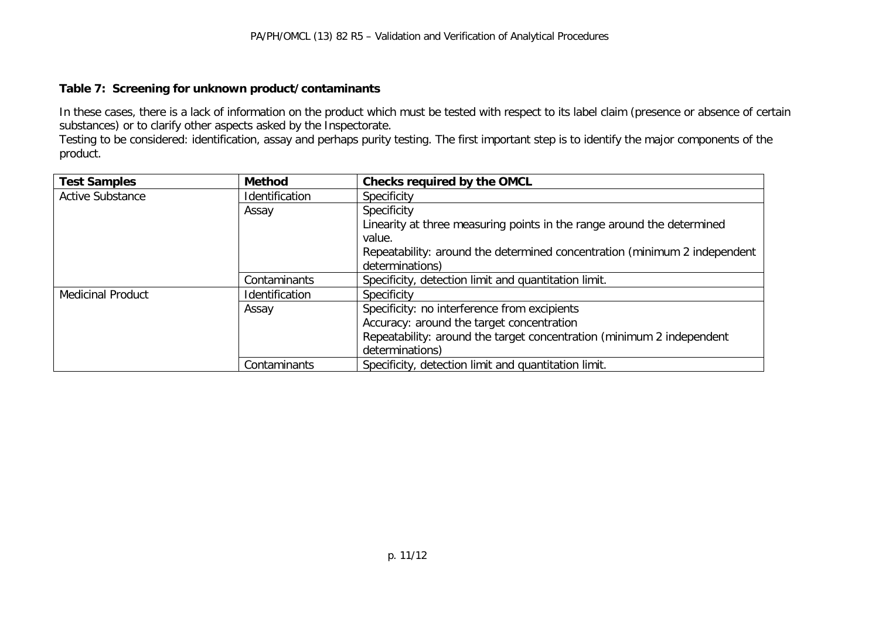#### **Table 7: Screening for unknown product/contaminants**

In these cases, there is a lack of information on the product which must be tested with respect to its label claim (presence or absence of certain substances) or to clarify other aspects asked by the Inspectorate.

Testing to be considered: identification, assay and perhaps purity testing. The first important step is to identify the major components of the product.

| <b>Test Samples</b>      | <b>Method</b>  | <b>Checks required by the OMCL</b>                                        |
|--------------------------|----------------|---------------------------------------------------------------------------|
| <b>Active Substance</b>  | Identification | Specificity                                                               |
|                          | Assay          | Specificity                                                               |
|                          |                | Linearity at three measuring points in the range around the determined    |
|                          |                | value.                                                                    |
|                          |                | Repeatability: around the determined concentration (minimum 2 independent |
|                          |                | determinations)                                                           |
|                          | Contaminants   | Specificity, detection limit and quantitation limit.                      |
| <b>Medicinal Product</b> | Identification | Specificity                                                               |
|                          | Assay          | Specificity: no interference from excipients                              |
|                          |                | Accuracy: around the target concentration                                 |
|                          |                | Repeatability: around the target concentration (minimum 2 independent     |
|                          |                | determinations)                                                           |
|                          | Contaminants   | Specificity, detection limit and quantitation limit.                      |